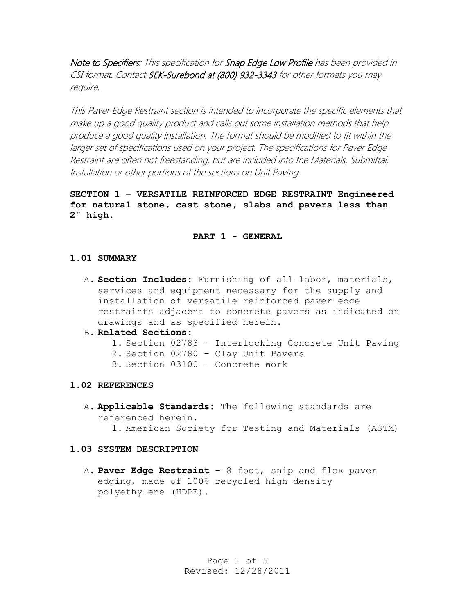Note to Specifiers: This specification for Snap Edge Low Profile has been provided in CSI format. Contact SEK-Surebond at (800) 932-3343 for other formats you may require.

This Paver Edge Restraint section is intended to incorporate the specific elements that make up a good quality product and calls out some installation methods that help produce a good quality installation. The format should be modified to fit within the larger set of specifications used on your project. The specifications for Paver Edge Restraint are often not freestanding, but are included into the Materials, Submittal, Installation or other portions of the sections on Unit Paving.

**SECTION 1 – VERSATILE REINFORCED EDGE RESTRAINT Engineered for natural stone, cast stone, slabs and pavers less than 2" high.**

# **PART 1 - GENERAL**

# **1.01 SUMMARY**

- A. **Section Includes:** Furnishing of all labor, materials, services and equipment necessary for the supply and installation of versatile reinforced paver edge restraints adjacent to concrete pavers as indicated on drawings and as specified herein.
- B. **Related Sections:**
	- 1. Section 02783 Interlocking Concrete Unit Paving
	- 2. Section 02780 Clay Unit Pavers
	- 3. Section 03100 Concrete Work

# **1.02 REFERENCES**

A. **Applicable Standards:** The following standards are referenced herein. 1. American Society for Testing and Materials (ASTM)

#### **1.03 SYSTEM DESCRIPTION**

A. **Paver Edge Restraint** – 8 foot, snip and flex paver edging, made of 100% recycled high density polyethylene (HDPE).

> Page 1 of 5 Revised: 12/28/2011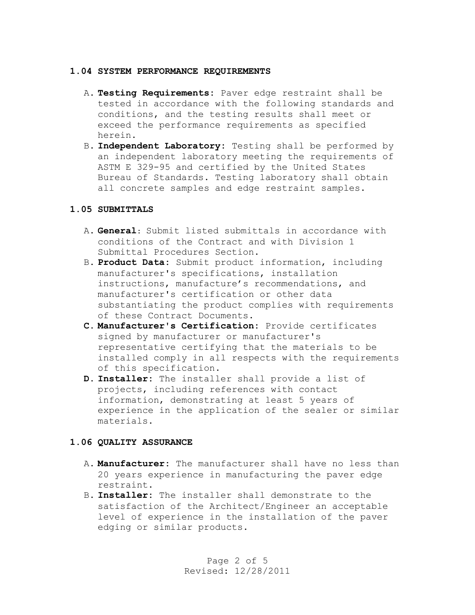#### **1.04 SYSTEM PERFORMANCE REQUIREMENTS**

- A. **Testing Requirements:** Paver edge restraint shall be tested in accordance with the following standards and conditions, and the testing results shall meet or exceed the performance requirements as specified herein.
- B. **Independent Laboratory:** Testing shall be performed by an independent laboratory meeting the requirements of ASTM E 329-95 and certified by the United States Bureau of Standards. Testing laboratory shall obtain all concrete samples and edge restraint samples.

# **1.05 SUBMITTALS**

- A. **General:** Submit listed submittals in accordance with conditions of the Contract and with Division 1 Submittal Procedures Section.
- B. **Product Data:** Submit product information, including manufacturer's specifications, installation instructions, manufacture's recommendations, and manufacturer's certification or other data substantiating the product complies with requirements of these Contract Documents.
- **C. Manufacturer's Certification:** Provide certificates signed by manufacturer or manufacturer's representative certifying that the materials to be installed comply in all respects with the requirements of this specification.
- **D. Installer:** The installer shall provide a list of projects, including references with contact information, demonstrating at least 5 years of experience in the application of the sealer or similar materials.

# **1.06 QUALITY ASSURANCE**

- A. **Manufacturer:** The manufacturer shall have no less than 20 years experience in manufacturing the paver edge restraint.
- B. **Installer:** The installer shall demonstrate to the satisfaction of the Architect/Engineer an acceptable level of experience in the installation of the paver edging or similar products.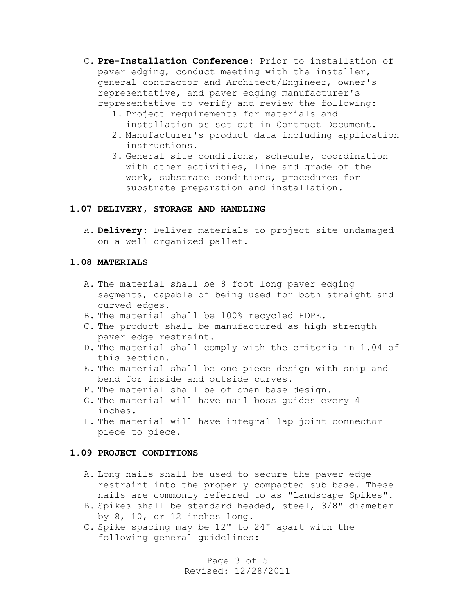- C. **Pre-Installation Conference:** Prior to installation of paver edging, conduct meeting with the installer, general contractor and Architect/Engineer, owner's representative, and paver edging manufacturer's representative to verify and review the following:
	- 1. Project requirements for materials and installation as set out in Contract Document.
	- 2. Manufacturer's product data including application instructions.
	- 3. General site conditions, schedule, coordination with other activities, line and grade of the work, substrate conditions, procedures for substrate preparation and installation.

# **1.07 DELIVERY, STORAGE AND HANDLING**

A. **Delivery:** Deliver materials to project site undamaged on a well organized pallet.

#### **1.08 MATERIALS**

- A. The material shall be 8 foot long paver edging segments, capable of being used for both straight and curved edges.
- B. The material shall be 100% recycled HDPE.
- C. The product shall be manufactured as high strength paver edge restraint.
- D. The material shall comply with the criteria in 1.04 of this section.
- E. The material shall be one piece design with snip and bend for inside and outside curves.
- F. The material shall be of open base design.
- G. The material will have nail boss guides every 4 inches.
- H. The material will have integral lap joint connector piece to piece.

#### **1.09 PROJECT CONDITIONS**

- A. Long nails shall be used to secure the paver edge restraint into the properly compacted sub base. These nails are commonly referred to as "Landscape Spikes".
- B. Spikes shall be standard headed, steel, 3/8" diameter by 8, 10, or 12 inches long.
- C. Spike spacing may be 12" to 24" apart with the following general guidelines:

Page 3 of 5 Revised: 12/28/2011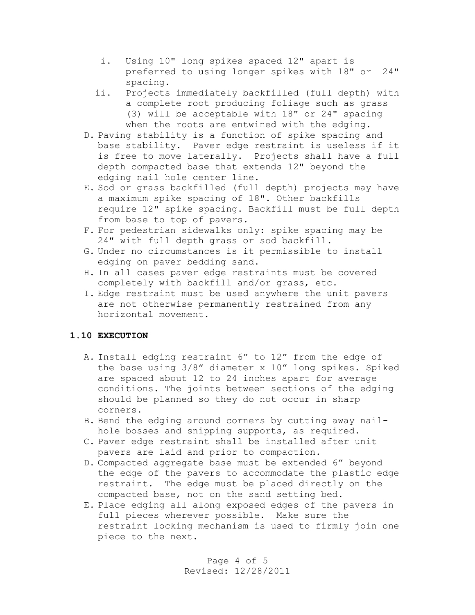- i. Using 10" long spikes spaced 12" apart is preferred to using longer spikes with 18" or 24" spacing.
- ii. Projects immediately backfilled (full depth) with a complete root producing foliage such as grass (3) will be acceptable with 18" or 24" spacing when the roots are entwined with the edging.
- D. Paving stability is a function of spike spacing and base stability. Paver edge restraint is useless if it is free to move laterally. Projects shall have a full depth compacted base that extends 12" beyond the edging nail hole center line.
- E. Sod or grass backfilled (full depth) projects may have a maximum spike spacing of 18". Other backfills require 12" spike spacing. Backfill must be full depth from base to top of pavers.
- F. For pedestrian sidewalks only: spike spacing may be 24" with full depth grass or sod backfill.
- G. Under no circumstances is it permissible to install edging on paver bedding sand.
- H. In all cases paver edge restraints must be covered completely with backfill and/or grass, etc.
- I. Edge restraint must be used anywhere the unit pavers are not otherwise permanently restrained from any horizontal movement.

# **1.10 EXECUTION**

- A. Install edging restraint 6" to 12" from the edge of the base using 3/8" diameter x 10" long spikes. Spiked are spaced about 12 to 24 inches apart for average conditions. The joints between sections of the edging should be planned so they do not occur in sharp corners.
- B. Bend the edging around corners by cutting away nailhole bosses and snipping supports, as required.
- C. Paver edge restraint shall be installed after unit pavers are laid and prior to compaction.
- D. Compacted aggregate base must be extended 6" beyond the edge of the pavers to accommodate the plastic edge restraint. The edge must be placed directly on the compacted base, not on the sand setting bed.
- E. Place edging all along exposed edges of the pavers in full pieces wherever possible. Make sure the restraint locking mechanism is used to firmly join one piece to the next.